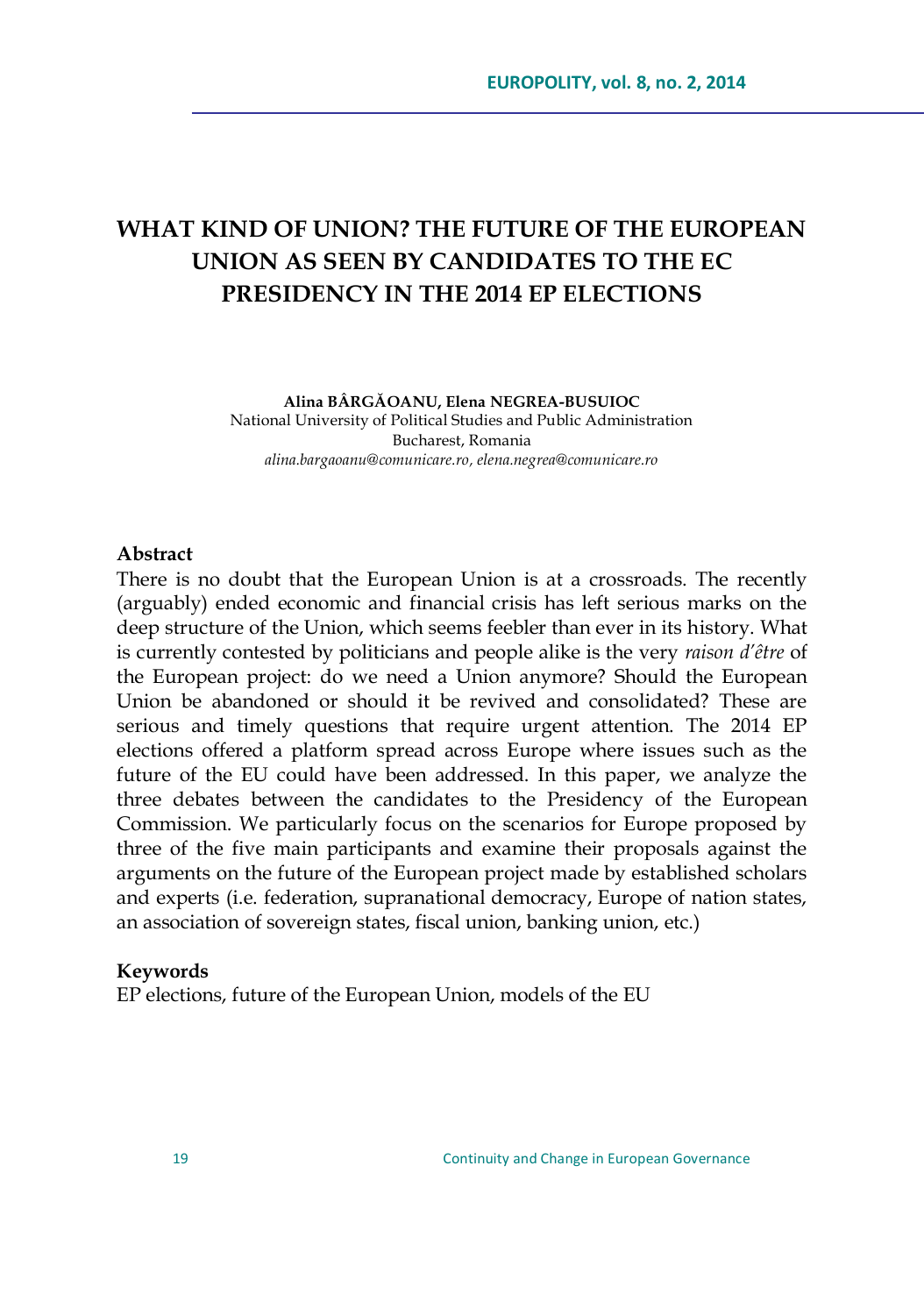# **WHAT KIND OF UNION? THE FUTURE OF THE EUROPEAN UNION AS SEEN BY CANDIDATES TO THE EC PRESIDENCY IN THE 2014 EP ELECTIONS**

**Alina BÂRGĂOANU, Elena NEGREA-BUSUIOC** National University of Political Studies and Public Administration Bucharest, Romania *[alina.bargaoanu@comunicare.ro,](mailto:alina.bargaoanu@comunicare.ro) [elena.negrea@comunicare.ro](mailto:elena.negrea@comunicare.ro)*

### **Abstract**

There is no doubt that the European Union is at a crossroads. The recently (arguably) ended economic and financial crisis has left serious marks on the deep structure of the Union, which seems feebler than ever in its history. What is currently contested by politicians and people alike is the very *raison d"être* of the European project: do we need a Union anymore? Should the European Union be abandoned or should it be revived and consolidated? These are serious and timely questions that require urgent attention. The 2014 EP elections offered a platform spread across Europe where issues such as the future of the EU could have been addressed. In this paper, we analyze the three debates between the candidates to the Presidency of the European Commission. We particularly focus on the scenarios for Europe proposed by three of the five main participants and examine their proposals against the arguments on the future of the European project made by established scholars and experts (i.e. federation, supranational democracy, Europe of nation states, an association of sovereign states, fiscal union, banking union, etc.)

#### **Keywords**

EP elections, future of the European Union, models of the EU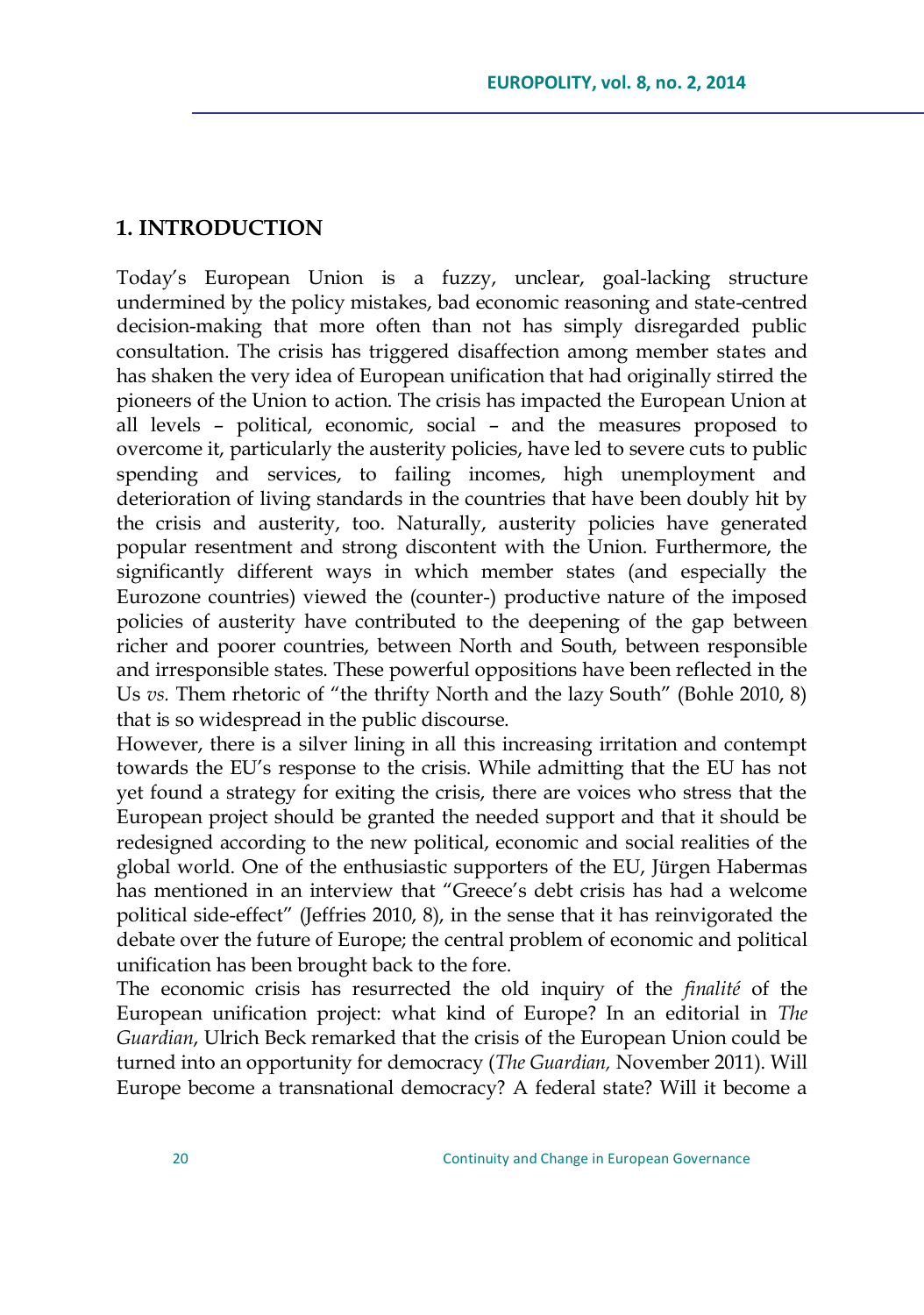### **1. INTRODUCTION**

Today's European Union is a fuzzy, unclear, goal-lacking structure undermined by the policy mistakes, bad economic reasoning and state-centred decision-making that more often than not has simply disregarded public consultation. The crisis has triggered disaffection among member states and has shaken the very idea of European unification that had originally stirred the pioneers of the Union to action. The crisis has impacted the European Union at all levels – political, economic, social – and the measures proposed to overcome it, particularly the austerity policies, have led to severe cuts to public spending and services, to failing incomes, high unemployment and deterioration of living standards in the countries that have been doubly hit by the crisis and austerity, too. Naturally, austerity policies have generated popular resentment and strong discontent with the Union. Furthermore, the significantly different ways in which member states (and especially the Eurozone countries) viewed the (counter-) productive nature of the imposed policies of austerity have contributed to the deepening of the gap between richer and poorer countries, between North and South, between responsible and irresponsible states. These powerful oppositions have been reflected in the Us *vs*. Them rhetoric of "the thrifty North and the lazy South" (Bohle 2010, 8) that is so widespread in the public discourse.

However, there is a silver lining in all this increasing irritation and contempt towards the EU's response to the crisis. While admitting that the EU has not yet found a strategy for exiting the crisis, there are voices who stress that the European project should be granted the needed support and that it should be redesigned according to the new political, economic and social realities of the global world. One of the enthusiastic supporters of the EU, Jürgen Habermas has mentioned in an interview that "Greece's debt crisis has had a welcome political side-effect" (Jeffries 2010, 8), in the sense that it has reinvigorated the debate over the future of Europe; the central problem of economic and political unification has been brought back to the fore.

The economic crisis has resurrected the old inquiry of the *finalité* of the European unification project: what kind of Europe? In an editorial in *The Guardian*, Ulrich Beck remarked that the crisis of the European Union could be turned into an opportunity for democracy (*The Guardian,* November 2011). Will Europe become a transnational democracy? A federal state? Will it become a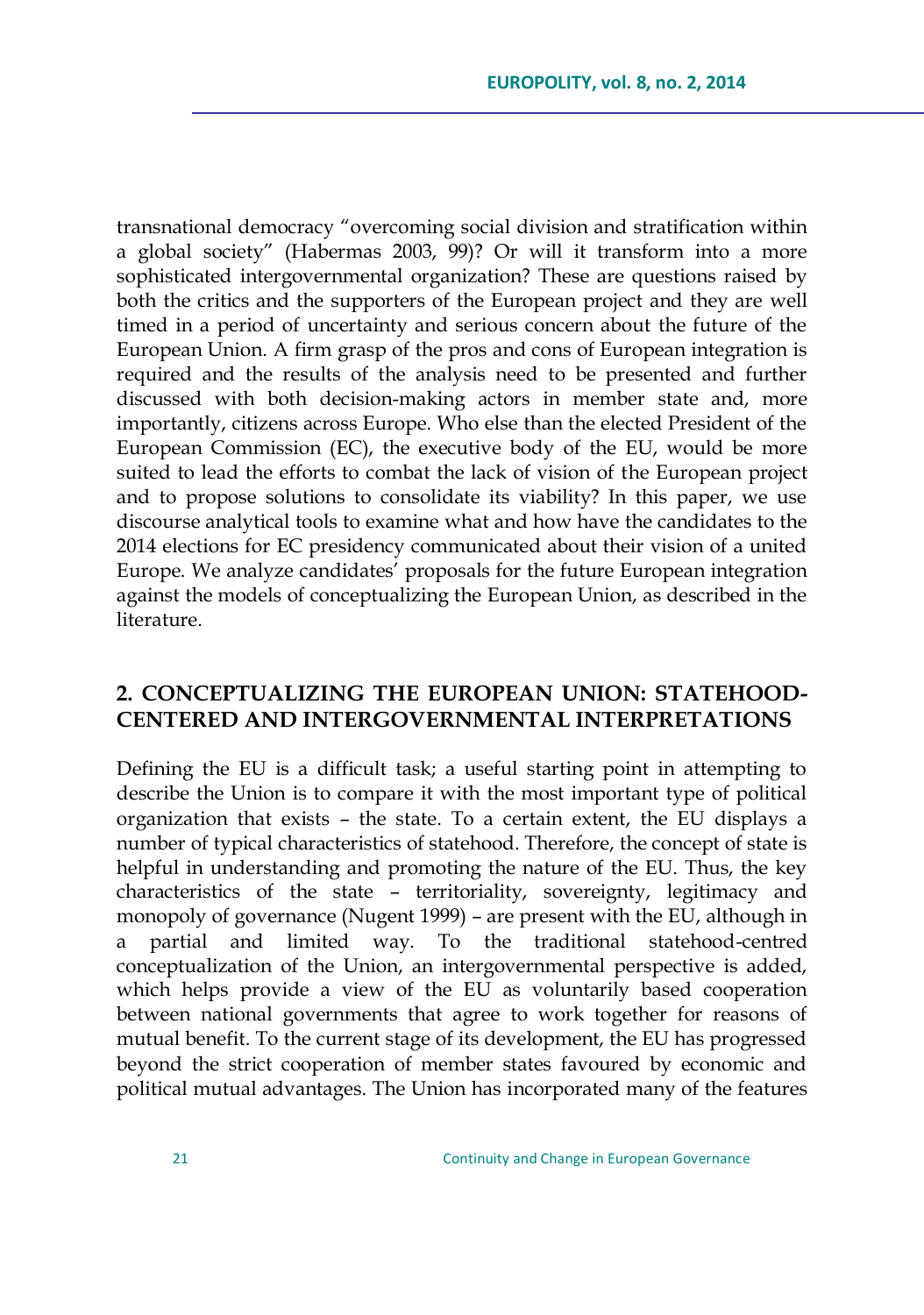transnational democracy "overcoming social division and stratification within a global society" (Habermas 2003, 99)? Or will it transform into a more sophisticated intergovernmental organization? These are questions raised by both the critics and the supporters of the European project and they are well timed in a period of uncertainty and serious concern about the future of the European Union. A firm grasp of the pros and cons of European integration is required and the results of the analysis need to be presented and further discussed with both decision-making actors in member state and, more importantly, citizens across Europe. Who else than the elected President of the European Commission (EC), the executive body of the EU, would be more suited to lead the efforts to combat the lack of vision of the European project and to propose solutions to consolidate its viability? In this paper, we use discourse analytical tools to examine what and how have the candidates to the 2014 elections for EC presidency communicated about their vision of a united Europe. We analyze candidates' proposals for the future European integration against the models of conceptualizing the European Union, as described in the literature.

# **2. CONCEPTUALIZING THE EUROPEAN UNION: STATEHOOD-CENTERED AND INTERGOVERNMENTAL INTERPRETATIONS**

Defining the EU is a difficult task; a useful starting point in attempting to describe the Union is to compare it with the most important type of political organization that exists – the state. To a certain extent, the EU displays a number of typical characteristics of statehood. Therefore, the concept of state is helpful in understanding and promoting the nature of the EU. Thus, the key characteristics of the state – territoriality, sovereignty, legitimacy and monopoly of governance (Nugent 1999) – are present with the EU, although in a partial and limited way. To the traditional statehood-centred conceptualization of the Union, an intergovernmental perspective is added, which helps provide a view of the EU as voluntarily based cooperation between national governments that agree to work together for reasons of mutual benefit. To the current stage of its development, the EU has progressed beyond the strict cooperation of member states favoured by economic and political mutual advantages. The Union has incorporated many of the features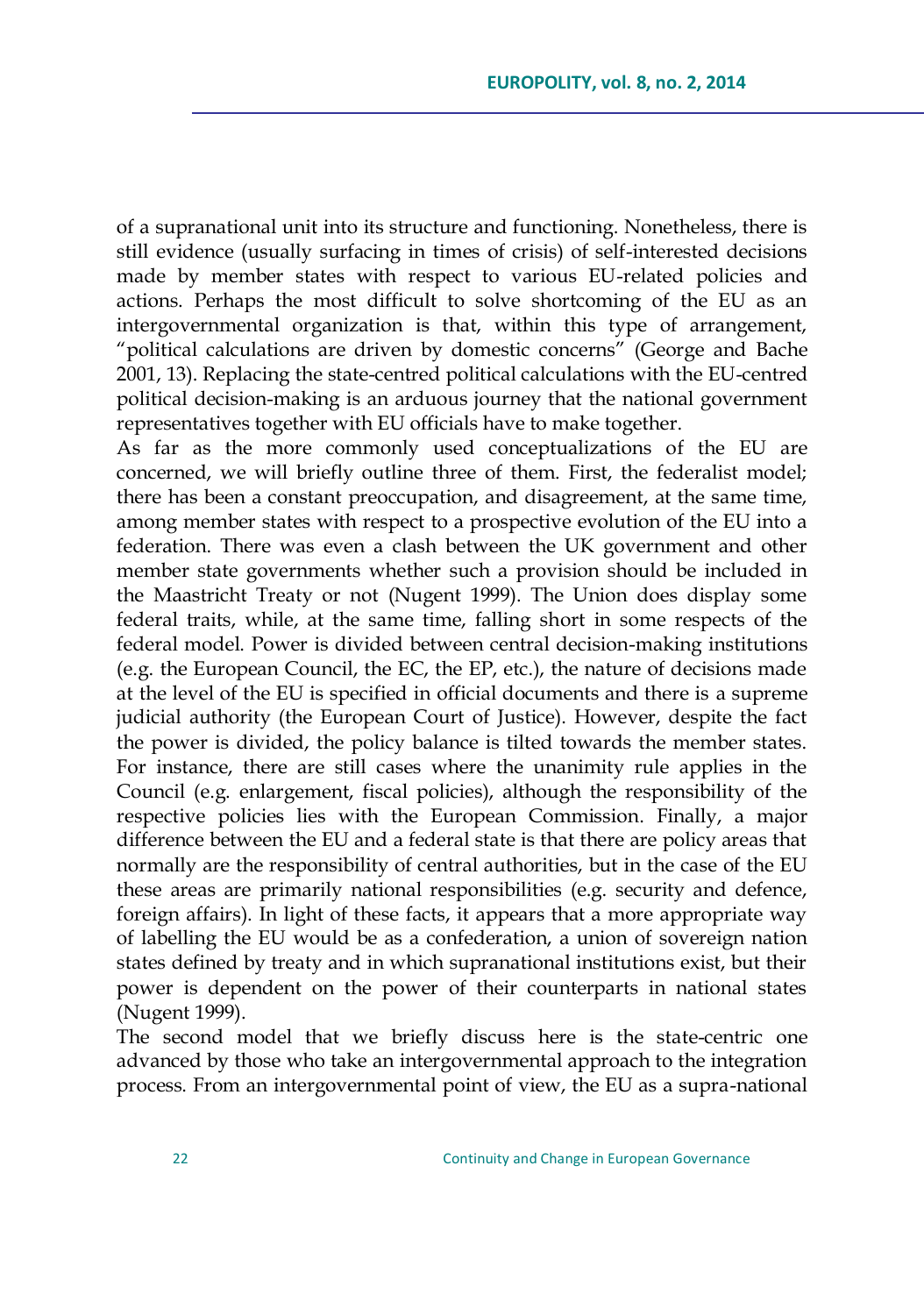of a supranational unit into its structure and functioning. Nonetheless, there is still evidence (usually surfacing in times of crisis) of self-interested decisions made by member states with respect to various EU-related policies and actions. Perhaps the most difficult to solve shortcoming of the EU as an intergovernmental organization is that, within this type of arrangement, "political calculations are driven by domestic concerns" (George and Bache 2001, 13). Replacing the state-centred political calculations with the EU-centred political decision-making is an arduous journey that the national government representatives together with EU officials have to make together.

As far as the more commonly used conceptualizations of the EU are concerned, we will briefly outline three of them. First, the federalist model; there has been a constant preoccupation, and disagreement, at the same time, among member states with respect to a prospective evolution of the EU into a federation. There was even a clash between the UK government and other member state governments whether such a provision should be included in the Maastricht Treaty or not (Nugent 1999). The Union does display some federal traits, while, at the same time, falling short in some respects of the federal model. Power is divided between central decision-making institutions (e.g. the European Council, the EC, the EP, etc.), the nature of decisions made at the level of the EU is specified in official documents and there is a supreme judicial authority (the European Court of Justice). However, despite the fact the power is divided, the policy balance is tilted towards the member states. For instance, there are still cases where the unanimity rule applies in the Council (e.g. enlargement, fiscal policies), although the responsibility of the respective policies lies with the European Commission. Finally, a major difference between the EU and a federal state is that there are policy areas that normally are the responsibility of central authorities, but in the case of the EU these areas are primarily national responsibilities (e.g. security and defence, foreign affairs). In light of these facts, it appears that a more appropriate way of labelling the EU would be as a confederation, a union of sovereign nation states defined by treaty and in which supranational institutions exist, but their power is dependent on the power of their counterparts in national states (Nugent 1999).

The second model that we briefly discuss here is the state-centric one advanced by those who take an intergovernmental approach to the integration process. From an intergovernmental point of view, the EU as a supra-national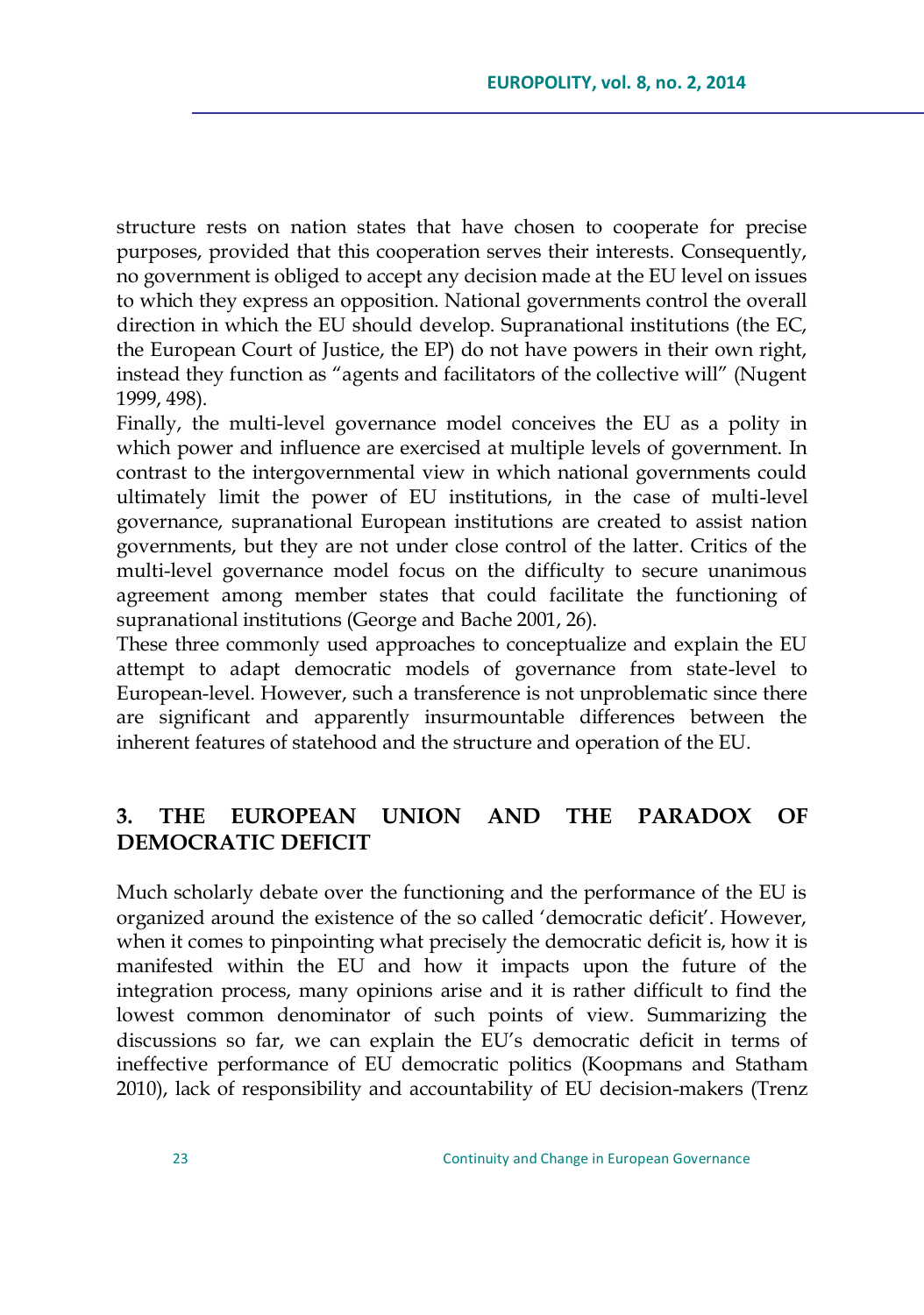structure rests on nation states that have chosen to cooperate for precise purposes, provided that this cooperation serves their interests. Consequently, no government is obliged to accept any decision made at the EU level on issues to which they express an opposition. National governments control the overall direction in which the EU should develop. Supranational institutions (the EC, the European Court of Justice, the EP) do not have powers in their own right, instead they function as "agents and facilitators of the collective will" (Nugent 1999, 498).

Finally, the multi-level governance model conceives the EU as a polity in which power and influence are exercised at multiple levels of government. In contrast to the intergovernmental view in which national governments could ultimately limit the power of EU institutions, in the case of multi-level governance, supranational European institutions are created to assist nation governments, but they are not under close control of the latter. Critics of the multi-level governance model focus on the difficulty to secure unanimous agreement among member states that could facilitate the functioning of supranational institutions (George and Bache 2001, 26).

These three commonly used approaches to conceptualize and explain the EU attempt to adapt democratic models of governance from state-level to European-level. However, such a transference is not unproblematic since there are significant and apparently insurmountable differences between the inherent features of statehood and the structure and operation of the EU.

# **3. THE EUROPEAN UNION AND THE PARADOX OF DEMOCRATIC DEFICIT**

Much scholarly debate over the functioning and the performance of the EU is organized around the existence of the so called 'democratic deficit'. However, when it comes to pinpointing what precisely the democratic deficit is, how it is manifested within the EU and how it impacts upon the future of the integration process, many opinions arise and it is rather difficult to find the lowest common denominator of such points of view. Summarizing the discussions so far, we can explain the EU's democratic deficit in terms of ineffective performance of EU democratic politics (Koopmans and Statham 2010), lack of responsibility and accountability of EU decision-makers (Trenz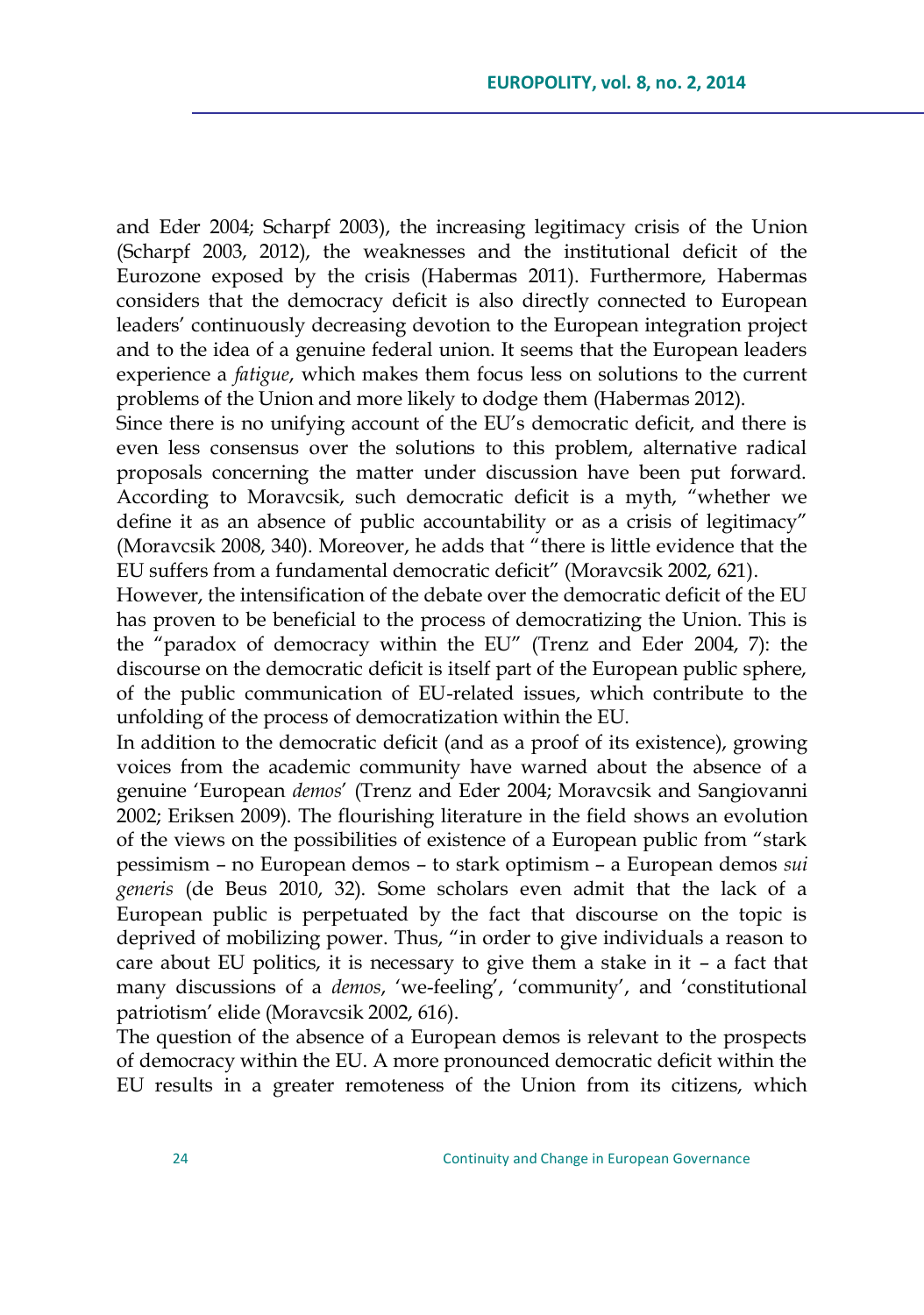and Eder 2004; Scharpf 2003), the increasing legitimacy crisis of the Union (Scharpf 2003, 2012), the weaknesses and the institutional deficit of the Eurozone exposed by the crisis (Habermas 2011). Furthermore, Habermas considers that the democracy deficit is also directly connected to European leaders' continuously decreasing devotion to the European integration project and to the idea of a genuine federal union. It seems that the European leaders experience a *fatigue*, which makes them focus less on solutions to the current problems of the Union and more likely to dodge them (Habermas 2012).

Since there is no unifying account of the EU's democratic deficit, and there is even less consensus over the solutions to this problem, alternative radical proposals concerning the matter under discussion have been put forward. According to Moravcsik, such democratic deficit is a myth, "whether we define it as an absence of public accountability or as a crisis of legitimacy" (Moravcsik 2008, 340). Moreover, he adds that "there is little evidence that the EU suffers from a fundamental democratic deficit‖ (Moravcsik 2002, 621).

However, the intensification of the debate over the democratic deficit of the EU has proven to be beneficial to the process of democratizing the Union. This is the "paradox of democracy within the EU" (Trenz and Eder 2004, 7): the discourse on the democratic deficit is itself part of the European public sphere, of the public communication of EU-related issues, which contribute to the unfolding of the process of democratization within the EU.

In addition to the democratic deficit (and as a proof of its existence), growing voices from the academic community have warned about the absence of a genuine ‗European *demos*' (Trenz and Eder 2004; Moravcsik and Sangiovanni 2002; Eriksen 2009). The flourishing literature in the field shows an evolution of the views on the possibilities of existence of a European public from "stark" pessimism – no European demos – to stark optimism – a European demos *sui generis* (de Beus 2010, 32). Some scholars even admit that the lack of a European public is perpetuated by the fact that discourse on the topic is deprived of mobilizing power. Thus, "in order to give individuals a reason to care about EU politics, it is necessary to give them a stake in it – a fact that many discussions of a *demos*, 'we-feeling', 'community', and 'constitutional patriotism' elide (Moravcsik 2002, 616).

The question of the absence of a European demos is relevant to the prospects of democracy within the EU. A more pronounced democratic deficit within the EU results in a greater remoteness of the Union from its citizens, which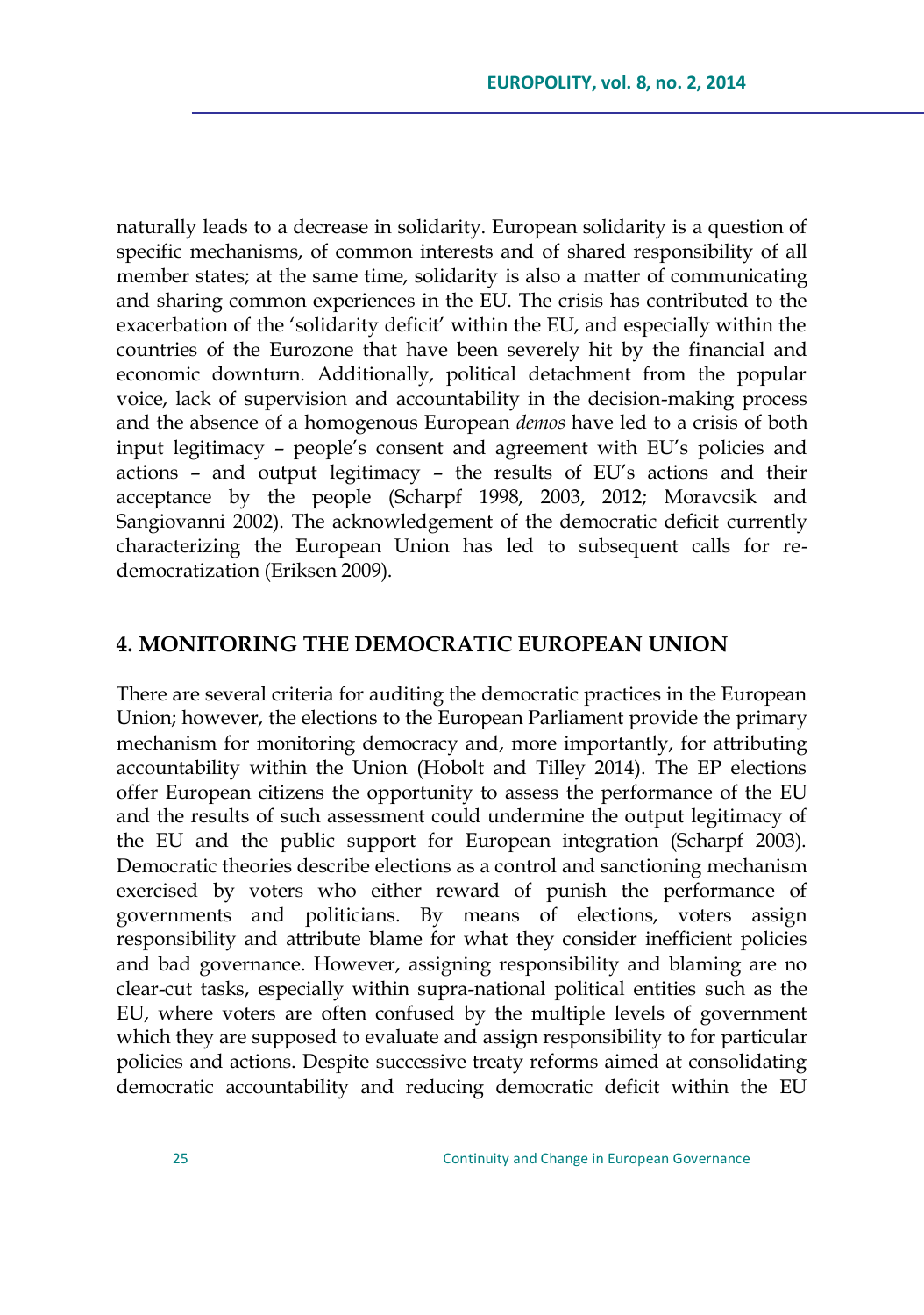naturally leads to a decrease in solidarity. European solidarity is a question of specific mechanisms, of common interests and of shared responsibility of all member states; at the same time, solidarity is also a matter of communicating and sharing common experiences in the EU. The crisis has contributed to the exacerbation of the 'solidarity deficit' within the EU, and especially within the countries of the Eurozone that have been severely hit by the financial and economic downturn. Additionally, political detachment from the popular voice, lack of supervision and accountability in the decision-making process and the absence of a homogenous European *demos* have led to a crisis of both input legitimacy – people's consent and agreement with EU's policies and actions – and output legitimacy – the results of EU's actions and their acceptance by the people (Scharpf 1998, 2003, 2012; Moravcsik and Sangiovanni 2002). The acknowledgement of the democratic deficit currently characterizing the European Union has led to subsequent calls for redemocratization (Eriksen 2009).

### **4. MONITORING THE DEMOCRATIC EUROPEAN UNION**

There are several criteria for auditing the democratic practices in the European Union; however, the elections to the European Parliament provide the primary mechanism for monitoring democracy and, more importantly, for attributing accountability within the Union (Hobolt and Tilley 2014). The EP elections offer European citizens the opportunity to assess the performance of the EU and the results of such assessment could undermine the output legitimacy of the EU and the public support for European integration (Scharpf 2003). Democratic theories describe elections as a control and sanctioning mechanism exercised by voters who either reward of punish the performance of governments and politicians. By means of elections, voters assign responsibility and attribute blame for what they consider inefficient policies and bad governance. However, assigning responsibility and blaming are no clear-cut tasks, especially within supra-national political entities such as the EU, where voters are often confused by the multiple levels of government which they are supposed to evaluate and assign responsibility to for particular policies and actions. Despite successive treaty reforms aimed at consolidating democratic accountability and reducing democratic deficit within the EU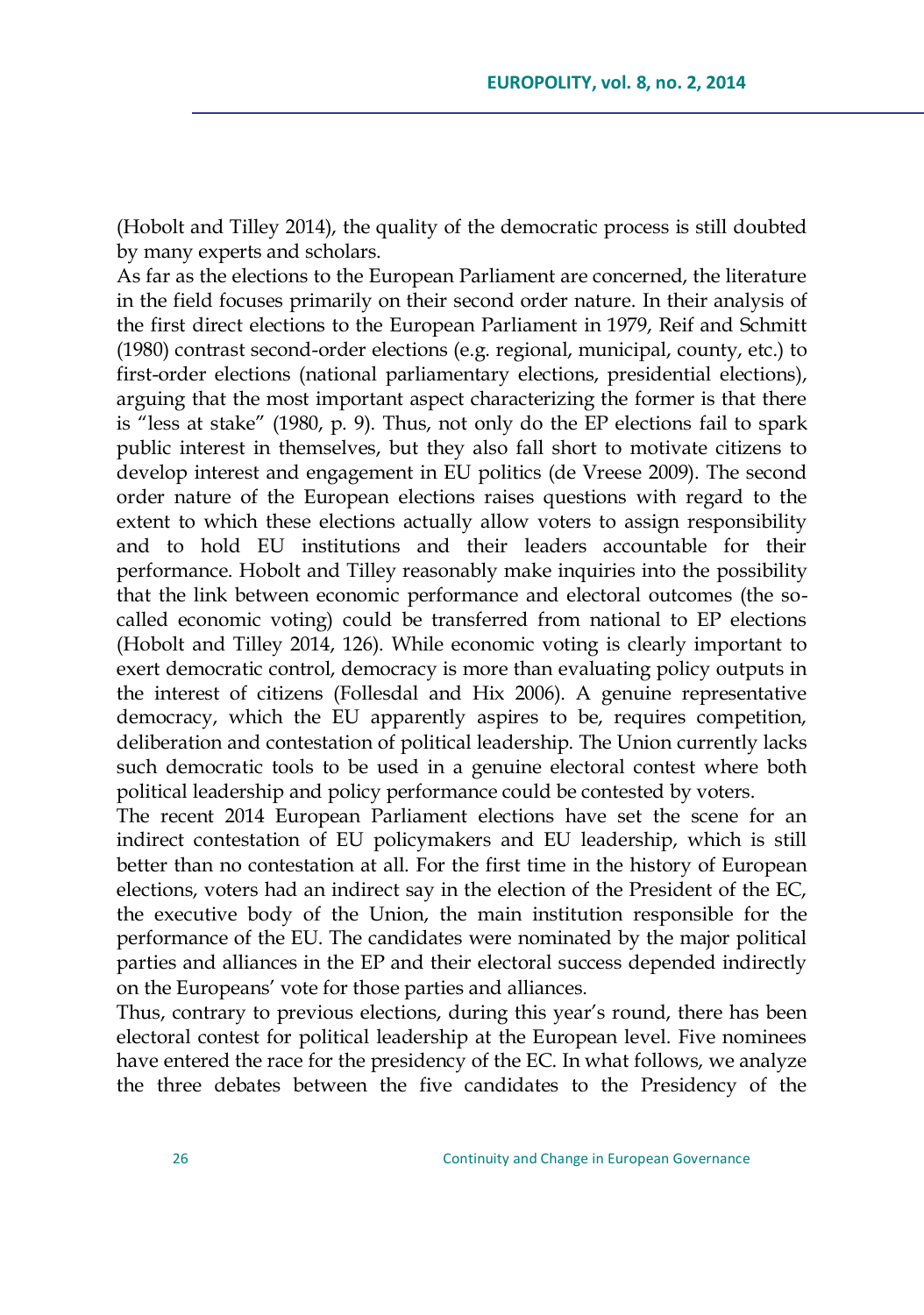(Hobolt and Tilley 2014), the quality of the democratic process is still doubted by many experts and scholars.

As far as the elections to the European Parliament are concerned, the literature in the field focuses primarily on their second order nature. In their analysis of the first direct elections to the European Parliament in 1979, Reif and Schmitt (1980) contrast second-order elections (e.g. regional, municipal, county, etc.) to first-order elections (national parliamentary elections, presidential elections), arguing that the most important aspect characterizing the former is that there is "less at stake" (1980, p. 9). Thus, not only do the EP elections fail to spark public interest in themselves, but they also fall short to motivate citizens to develop interest and engagement in EU politics (de Vreese 2009). The second order nature of the European elections raises questions with regard to the extent to which these elections actually allow voters to assign responsibility and to hold EU institutions and their leaders accountable for their performance. Hobolt and Tilley reasonably make inquiries into the possibility that the link between economic performance and electoral outcomes (the socalled economic voting) could be transferred from national to EP elections (Hobolt and Tilley 2014, 126). While economic voting is clearly important to exert democratic control, democracy is more than evaluating policy outputs in the interest of citizens (Follesdal and Hix 2006). A genuine representative democracy, which the EU apparently aspires to be, requires competition, deliberation and contestation of political leadership. The Union currently lacks such democratic tools to be used in a genuine electoral contest where both political leadership and policy performance could be contested by voters.

The recent 2014 European Parliament elections have set the scene for an indirect contestation of EU policymakers and EU leadership, which is still better than no contestation at all. For the first time in the history of European elections, voters had an indirect say in the election of the President of the EC, the executive body of the Union, the main institution responsible for the performance of the EU. The candidates were nominated by the major political parties and alliances in the EP and their electoral success depended indirectly on the Europeans' vote for those parties and alliances.

Thus, contrary to previous elections, during this year's round, there has been electoral contest for political leadership at the European level. Five nominees have entered the race for the presidency of the EC. In what follows, we analyze the three debates between the five candidates to the Presidency of the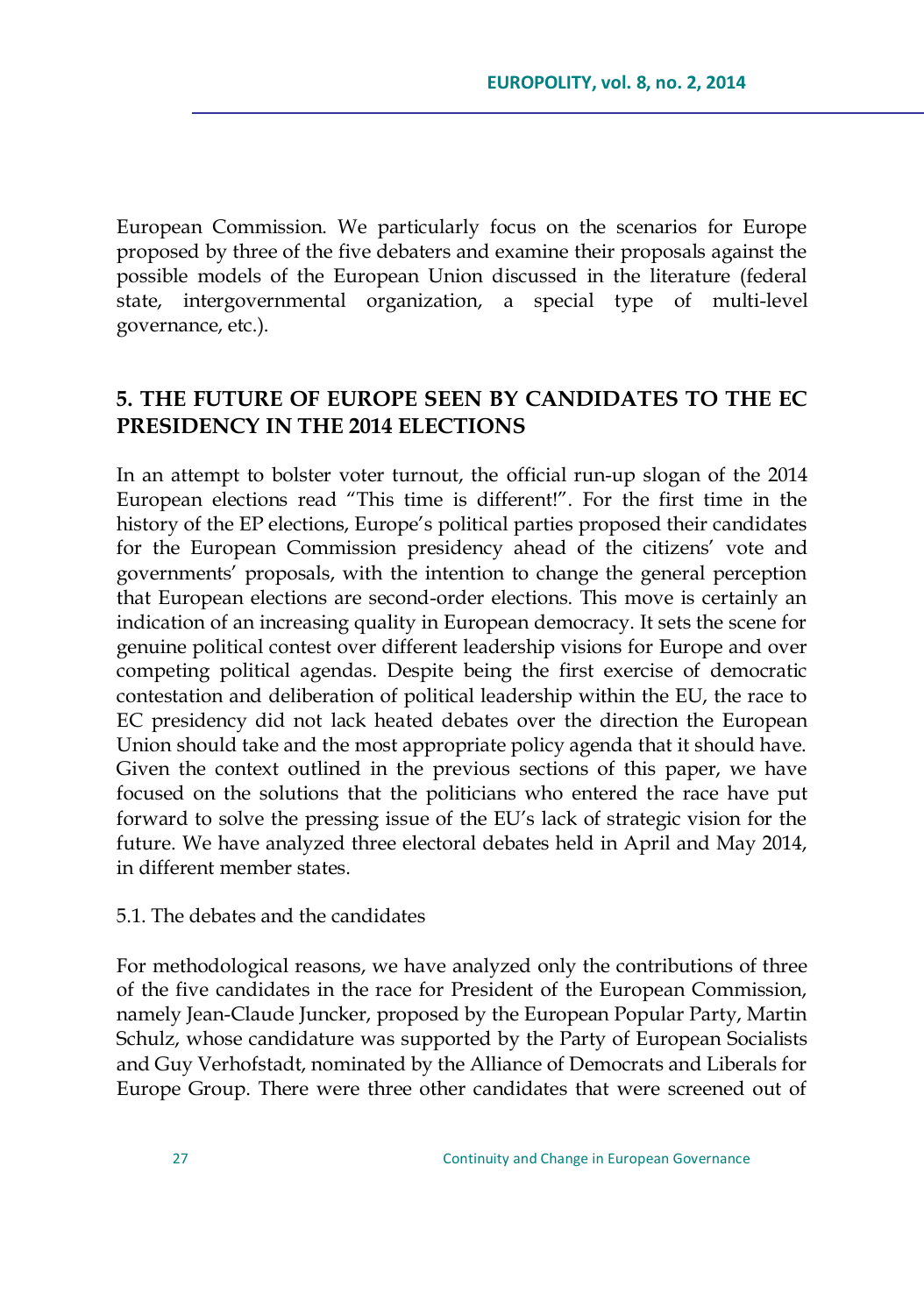European Commission. We particularly focus on the scenarios for Europe proposed by three of the five debaters and examine their proposals against the possible models of the European Union discussed in the literature (federal state, intergovernmental organization, a special type of multi-level governance, etc.).

# **5. THE FUTURE OF EUROPE SEEN BY CANDIDATES TO THE EC PRESIDENCY IN THE 2014 ELECTIONS**

In an attempt to bolster voter turnout, the official run-up slogan of the 2014 European elections read "This time is different!". For the first time in the history of the EP elections, Europe's political parties proposed their candidates for the European Commission presidency ahead of the citizens' vote and governments' proposals, with the intention to change the general perception that European elections are second-order elections. This move is certainly an indication of an increasing quality in European democracy. It sets the scene for genuine political contest over different leadership visions for Europe and over competing political agendas. Despite being the first exercise of democratic contestation and deliberation of political leadership within the EU, the race to EC presidency did not lack heated debates over the direction the European Union should take and the most appropriate policy agenda that it should have. Given the context outlined in the previous sections of this paper, we have focused on the solutions that the politicians who entered the race have put forward to solve the pressing issue of the EU's lack of strategic vision for the future. We have analyzed three electoral debates held in April and May 2014, in different member states.

#### 5.1. The debates and the candidates

For methodological reasons, we have analyzed only the contributions of three of the five candidates in the race for President of the European Commission, namely Jean-Claude Juncker, proposed by the European Popular Party, Martin Schulz, whose candidature was supported by the Party of European Socialists and Guy Verhofstadt, nominated by the Alliance of Democrats and Liberals for Europe Group. There were three other candidates that were screened out of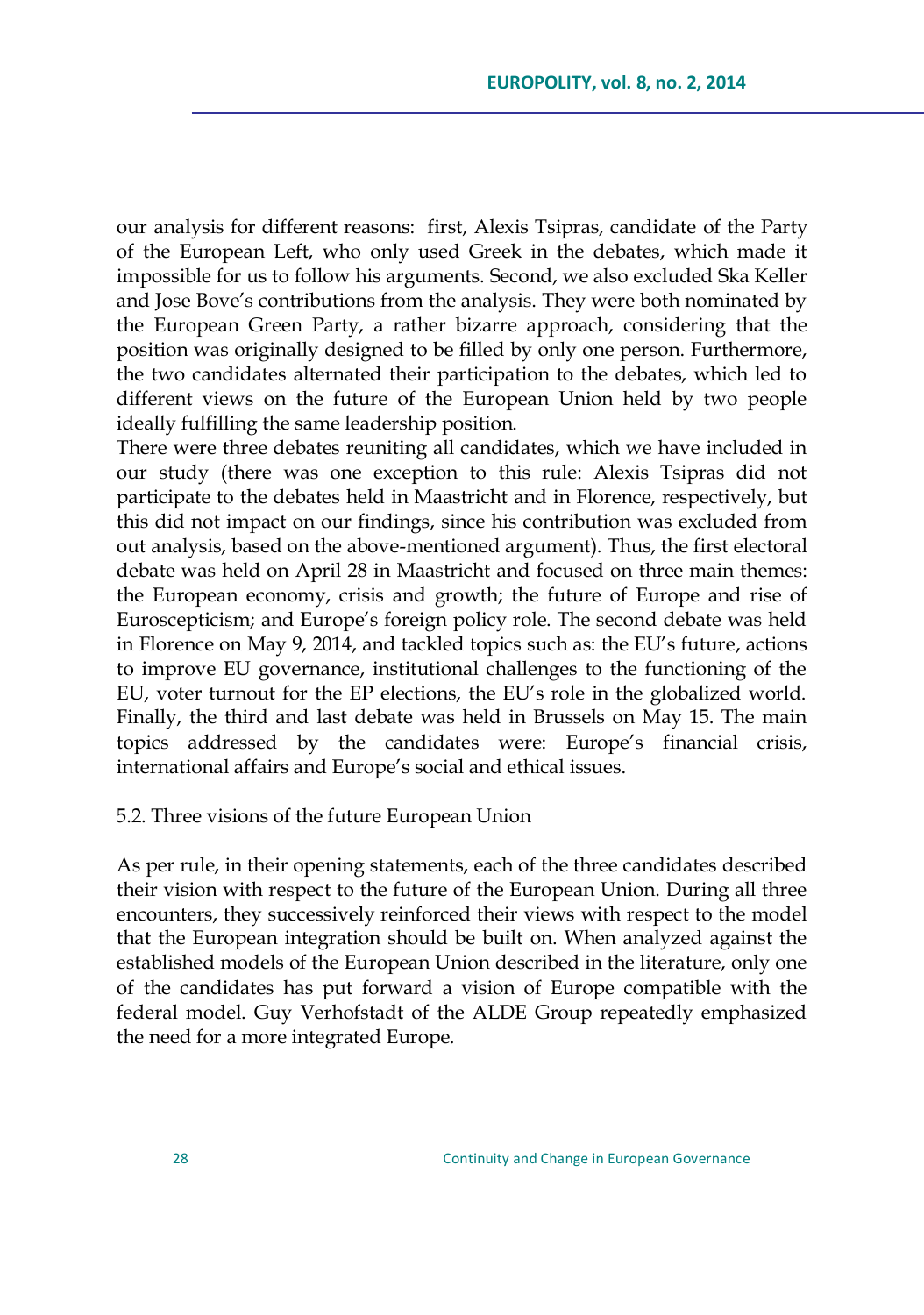our analysis for different reasons: first, Alexis Tsipras, candidate of the Party of the European Left, who only used Greek in the debates, which made it impossible for us to follow his arguments. Second, we also excluded Ska Keller and Jose Bove's contributions from the analysis. They were both nominated by the European Green Party, a rather bizarre approach, considering that the position was originally designed to be filled by only one person. Furthermore, the two candidates alternated their participation to the debates, which led to different views on the future of the European Union held by two people ideally fulfilling the same leadership position.

There were three debates reuniting all candidates, which we have included in our study (there was one exception to this rule: Alexis Tsipras did not participate to the debates held in Maastricht and in Florence, respectively, but this did not impact on our findings, since his contribution was excluded from out analysis, based on the above-mentioned argument). Thus, the first electoral debate was held on April 28 in Maastricht and focused on three main themes: the European economy, crisis and growth; the future of Europe and rise of Euroscepticism; and Europe's foreign policy role. The second debate was held in Florence on May 9, 2014, and tackled topics such as: the EU's future, actions to improve EU governance, institutional challenges to the functioning of the EU, voter turnout for the EP elections, the EU's role in the globalized world. Finally, the third and last debate was held in Brussels on May 15. The main topics addressed by the candidates were: Europe's financial crisis, international affairs and Europe's social and ethical issues.

### 5.2. Three visions of the future European Union

As per rule, in their opening statements, each of the three candidates described their vision with respect to the future of the European Union. During all three encounters, they successively reinforced their views with respect to the model that the European integration should be built on. When analyzed against the established models of the European Union described in the literature, only one of the candidates has put forward a vision of Europe compatible with the federal model. Guy Verhofstadt of the ALDE Group repeatedly emphasized the need for a more integrated Europe.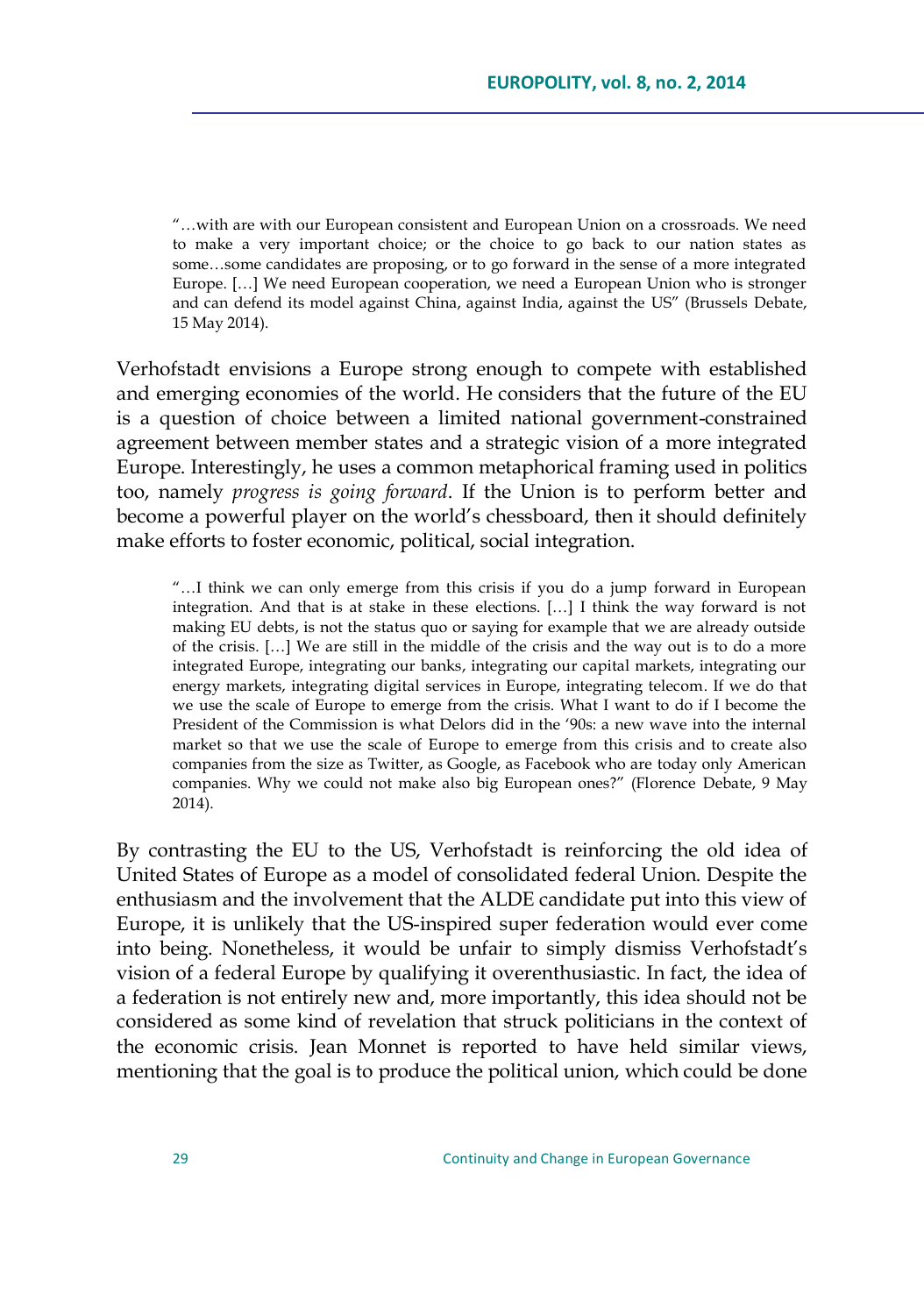―…with are with our European consistent and European Union on a crossroads. We need to make a very important choice; or the choice to go back to our nation states as some…some candidates are proposing, or to go forward in the sense of a more integrated Europe. […] We need European cooperation, we need a European Union who is stronger and can defend its model against China, against India, against the US" (Brussels Debate, 15 May 2014).

Verhofstadt envisions a Europe strong enough to compete with established and emerging economies of the world. He considers that the future of the EU is a question of choice between a limited national government-constrained agreement between member states and a strategic vision of a more integrated Europe. Interestingly, he uses a common metaphorical framing used in politics too, namely *progress is going forward*. If the Union is to perform better and become a powerful player on the world's chessboard, then it should definitely make efforts to foster economic, political, social integration.

―…I think we can only emerge from this crisis if you do a jump forward in European integration. And that is at stake in these elections. […] I think the way forward is not making EU debts, is not the status quo or saying for example that we are already outside of the crisis. […] We are still in the middle of the crisis and the way out is to do a more integrated Europe, integrating our banks, integrating our capital markets, integrating our energy markets, integrating digital services in Europe, integrating telecom. If we do that we use the scale of Europe to emerge from the crisis. What I want to do if I become the President of the Commission is what Delors did in the '90s: a new wave into the internal market so that we use the scale of Europe to emerge from this crisis and to create also companies from the size as Twitter, as Google, as Facebook who are today only American companies. Why we could not make also big European ones?‖ (Florence Debate, 9 May 2014).

By contrasting the EU to the US, Verhofstadt is reinforcing the old idea of United States of Europe as a model of consolidated federal Union. Despite the enthusiasm and the involvement that the ALDE candidate put into this view of Europe, it is unlikely that the US-inspired super federation would ever come into being. Nonetheless, it would be unfair to simply dismiss Verhofstadt's vision of a federal Europe by qualifying it overenthusiastic. In fact, the idea of a federation is not entirely new and, more importantly, this idea should not be considered as some kind of revelation that struck politicians in the context of the economic crisis. Jean Monnet is reported to have held similar views, mentioning that the goal is to produce the political union, which could be done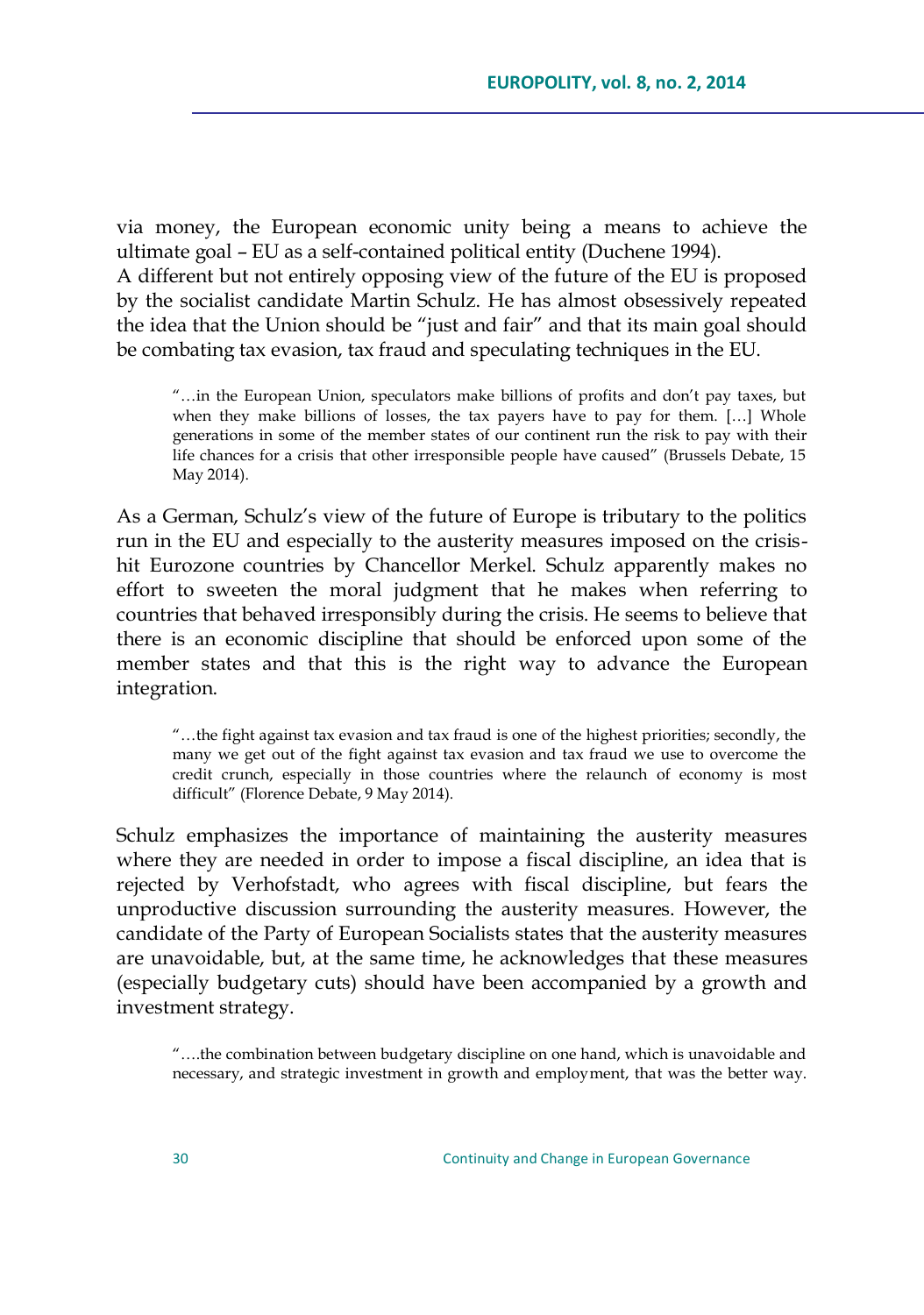via money, the European economic unity being a means to achieve the ultimate goal – EU as a self-contained political entity (Duchene 1994). A different but not entirely opposing view of the future of the EU is proposed by the socialist candidate Martin Schulz. He has almost obsessively repeated the idea that the Union should be "just and fair" and that its main goal should be combating tax evasion, tax fraud and speculating techniques in the EU.

―…in the European Union, speculators make billions of profits and don't pay taxes, but when they make billions of losses, the tax payers have to pay for them. […] Whole generations in some of the member states of our continent run the risk to pay with their life chances for a crisis that other irresponsible people have caused" (Brussels Debate, 15 May 2014).

As a German, Schulz's view of the future of Europe is tributary to the politics run in the EU and especially to the austerity measures imposed on the crisishit Eurozone countries by Chancellor Merkel. Schulz apparently makes no effort to sweeten the moral judgment that he makes when referring to countries that behaved irresponsibly during the crisis. He seems to believe that there is an economic discipline that should be enforced upon some of the member states and that this is the right way to advance the European integration.

―…the fight against tax evasion and tax fraud is one of the highest priorities; secondly, the many we get out of the fight against tax evasion and tax fraud we use to overcome the credit crunch, especially in those countries where the relaunch of economy is most difficult" (Florence Debate, 9 May 2014).

Schulz emphasizes the importance of maintaining the austerity measures where they are needed in order to impose a fiscal discipline, an idea that is rejected by Verhofstadt, who agrees with fiscal discipline, but fears the unproductive discussion surrounding the austerity measures. However, the candidate of the Party of European Socialists states that the austerity measures are unavoidable, but, at the same time, he acknowledges that these measures (especially budgetary cuts) should have been accompanied by a growth and investment strategy.

―….the combination between budgetary discipline on one hand, which is unavoidable and necessary, and strategic investment in growth and employment, that was the better way.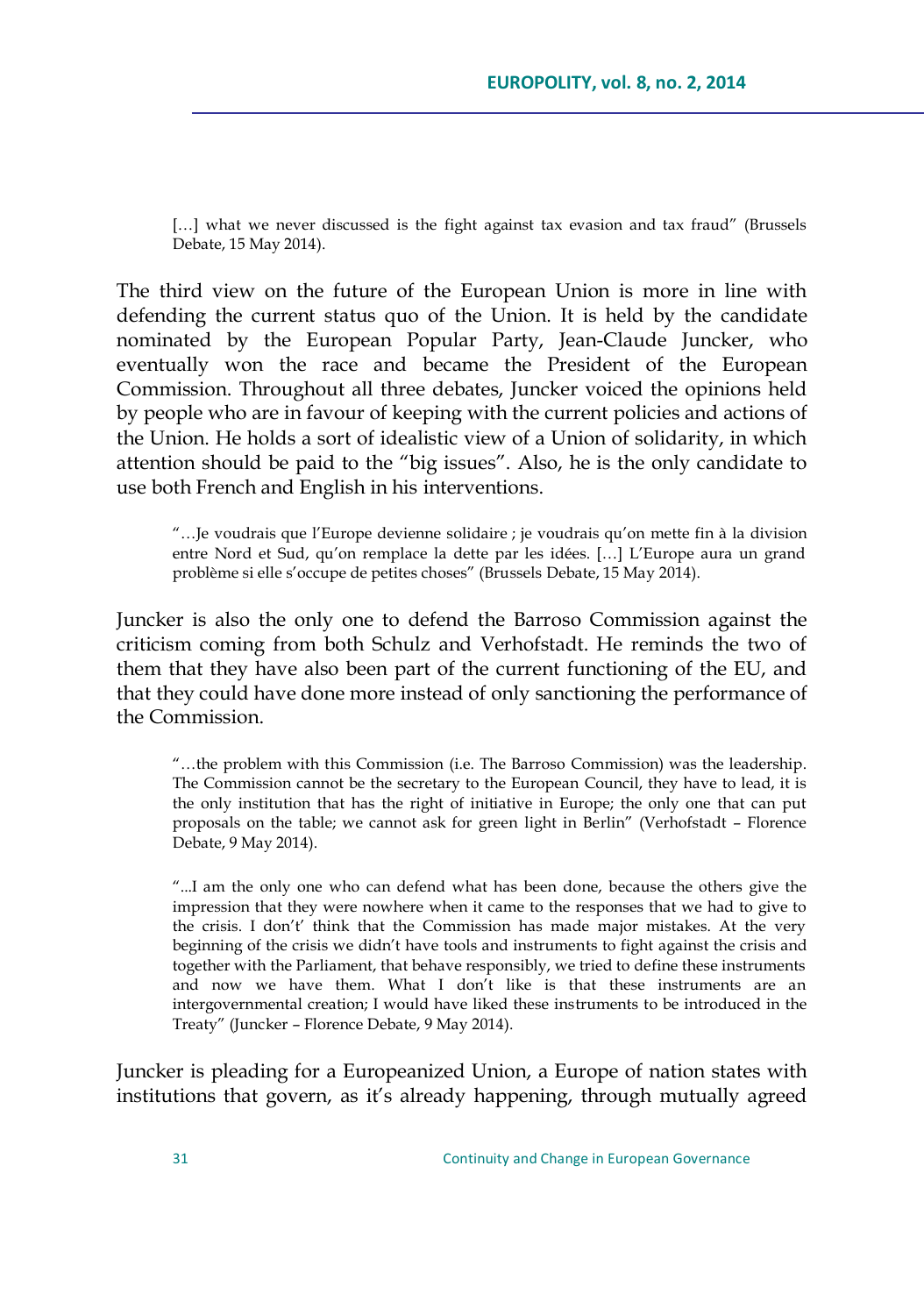[...] what we never discussed is the fight against tax evasion and tax fraud" (Brussels Debate, 15 May 2014).

The third view on the future of the European Union is more in line with defending the current status quo of the Union. It is held by the candidate nominated by the European Popular Party, Jean-Claude Juncker, who eventually won the race and became the President of the European Commission. Throughout all three debates, Juncker voiced the opinions held by people who are in favour of keeping with the current policies and actions of the Union. He holds a sort of idealistic view of a Union of solidarity, in which attention should be paid to the "big issues". Also, he is the only candidate to use both French and English in his interventions.

―…Je voudrais que l'Europe devienne solidaire ; je voudrais qu'on mette fin à la division entre Nord et Sud, qu'on remplace la dette par les idées. […] L'Europe aura un grand problème si elle s'occupe de petites choses" (Brussels Debate, 15 May 2014).

Juncker is also the only one to defend the Barroso Commission against the criticism coming from both Schulz and Verhofstadt. He reminds the two of them that they have also been part of the current functioning of the EU, and that they could have done more instead of only sanctioning the performance of the Commission.

―…the problem with this Commission (i.e. The Barroso Commission) was the leadership. The Commission cannot be the secretary to the European Council, they have to lead, it is the only institution that has the right of initiative in Europe; the only one that can put proposals on the table; we cannot ask for green light in Berlin" (Verhofstadt - Florence Debate, 9 May 2014).

―...I am the only one who can defend what has been done, because the others give the impression that they were nowhere when it came to the responses that we had to give to the crisis. I don't' think that the Commission has made major mistakes. At the very beginning of the crisis we didn't have tools and instruments to fight against the crisis and together with the Parliament, that behave responsibly, we tried to define these instruments and now we have them. What I don't like is that these instruments are an intergovernmental creation; I would have liked these instruments to be introduced in the Treaty‖ (Juncker – Florence Debate, 9 May 2014).

Juncker is pleading for a Europeanized Union, a Europe of nation states with institutions that govern, as it's already happening, through mutually agreed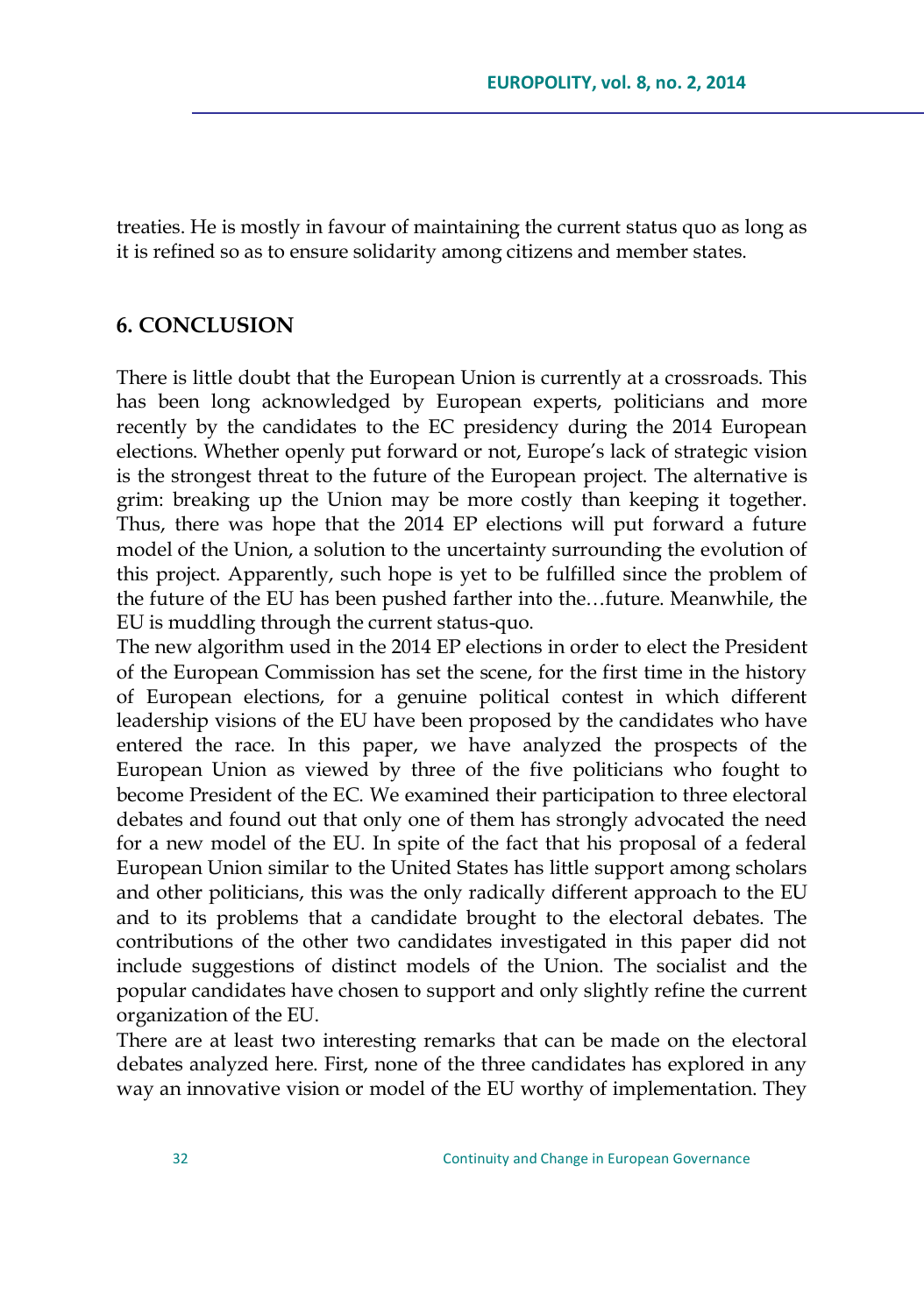treaties. He is mostly in favour of maintaining the current status quo as long as it is refined so as to ensure solidarity among citizens and member states.

### **6. CONCLUSION**

There is little doubt that the European Union is currently at a crossroads. This has been long acknowledged by European experts, politicians and more recently by the candidates to the EC presidency during the 2014 European elections. Whether openly put forward or not, Europe's lack of strategic vision is the strongest threat to the future of the European project. The alternative is grim: breaking up the Union may be more costly than keeping it together. Thus, there was hope that the 2014 EP elections will put forward a future model of the Union, a solution to the uncertainty surrounding the evolution of this project. Apparently, such hope is yet to be fulfilled since the problem of the future of the EU has been pushed farther into the…future. Meanwhile, the EU is muddling through the current status-quo.

The new algorithm used in the 2014 EP elections in order to elect the President of the European Commission has set the scene, for the first time in the history of European elections, for a genuine political contest in which different leadership visions of the EU have been proposed by the candidates who have entered the race. In this paper, we have analyzed the prospects of the European Union as viewed by three of the five politicians who fought to become President of the EC. We examined their participation to three electoral debates and found out that only one of them has strongly advocated the need for a new model of the EU. In spite of the fact that his proposal of a federal European Union similar to the United States has little support among scholars and other politicians, this was the only radically different approach to the EU and to its problems that a candidate brought to the electoral debates. The contributions of the other two candidates investigated in this paper did not include suggestions of distinct models of the Union. The socialist and the popular candidates have chosen to support and only slightly refine the current organization of the EU.

There are at least two interesting remarks that can be made on the electoral debates analyzed here. First, none of the three candidates has explored in any way an innovative vision or model of the EU worthy of implementation. They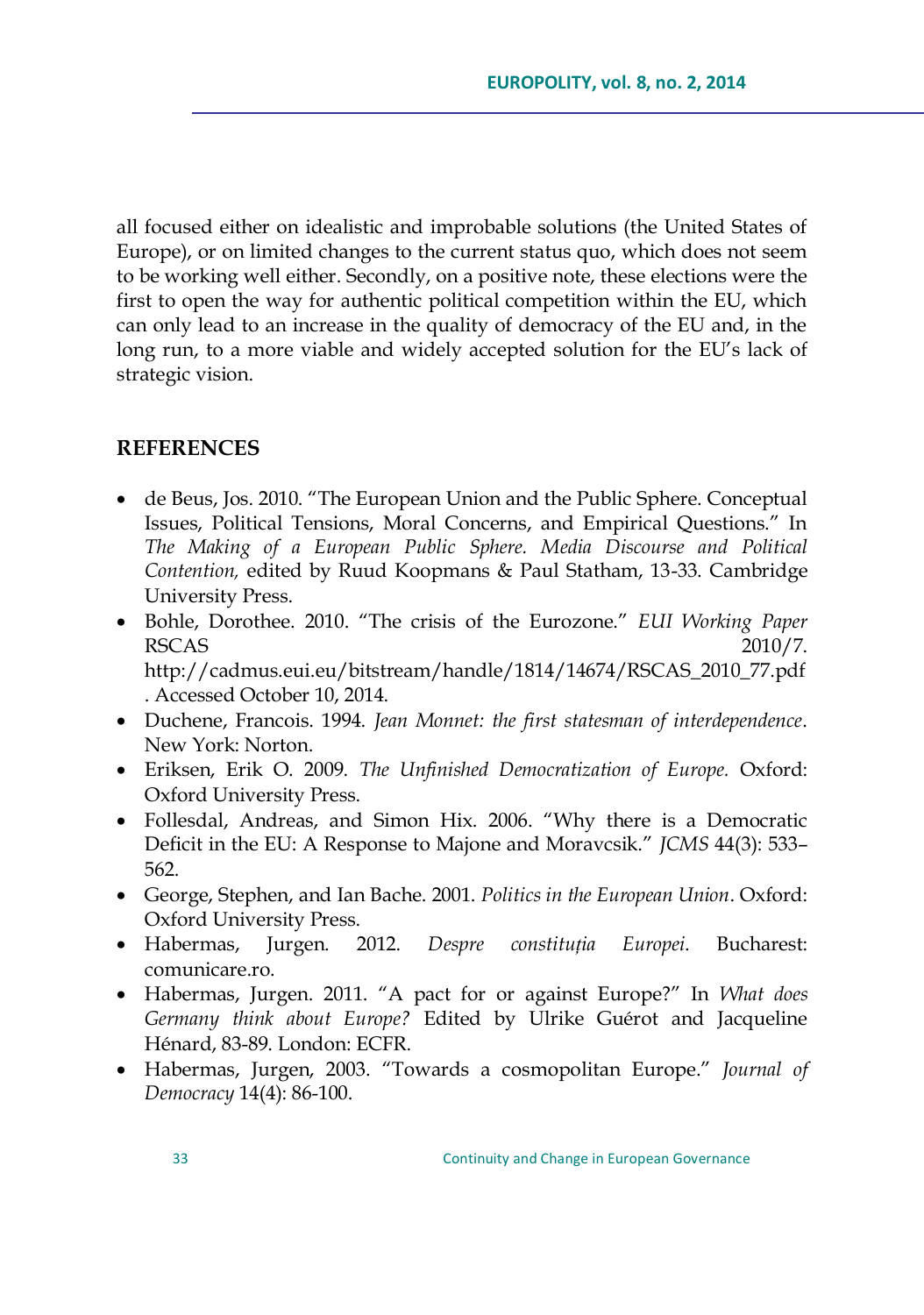all focused either on idealistic and improbable solutions (the United States of Europe), or on limited changes to the current status quo, which does not seem to be working well either. Secondly, on a positive note, these elections were the first to open the way for authentic political competition within the EU, which can only lead to an increase in the quality of democracy of the EU and, in the long run, to a more viable and widely accepted solution for the EU's lack of strategic vision.

# **REFERENCES**

- de Beus, Jos. 2010. "The European Union and the Public Sphere. Conceptual Issues, Political Tensions, Moral Concerns, and Empirical Questions." In *The Making of a European Public Sphere. Media Discourse and Political Contention,* edited by Ruud Koopmans & Paul Statham, 13-33. Cambridge University Press.
- Bohle, Dorothee. 2010. ―The crisis of the Eurozone.‖ *EUI Working Paper* RSCAS  $2010/7$ . http://cadmus.eui.eu/bitstream/handle/1814/14674/RSCAS\_2010\_77.pdf . Accessed October 10, 2014.
- Duchene, Francois. 1994. *Jean Monnet: the first statesman of interdependence*. New York: Norton.
- Eriksen, Erik O. 2009. *The Unfinished Democratization of Europe.* Oxford: Oxford University Press.
- Follesdal, Andreas, and Simon Hix. 2006. "Why there is a Democratic Deficit in the EU: A Response to Majone and Moravcsik.‖ *JCMS* 44(3): 533– 562.
- George, Stephen, and Ian Bache. 2001. *Politics in the European Union*. Oxford: Oxford University Press.
- Habermas, Jurgen. 2012. *Despre constituția Europei*. Bucharest: comunicare.ro.
- Habermas, Jurgen. 2011. ―A pact for or against Europe?‖ In *What does Germany think about Europe?* Edited by Ulrike Guérot and Jacqueline Hénard, 83-89. London: ECFR.
- Habermas, Jurgen, 2003. "Towards a cosmopolitan Europe." *Journal of Democracy* 14(4): 86-100.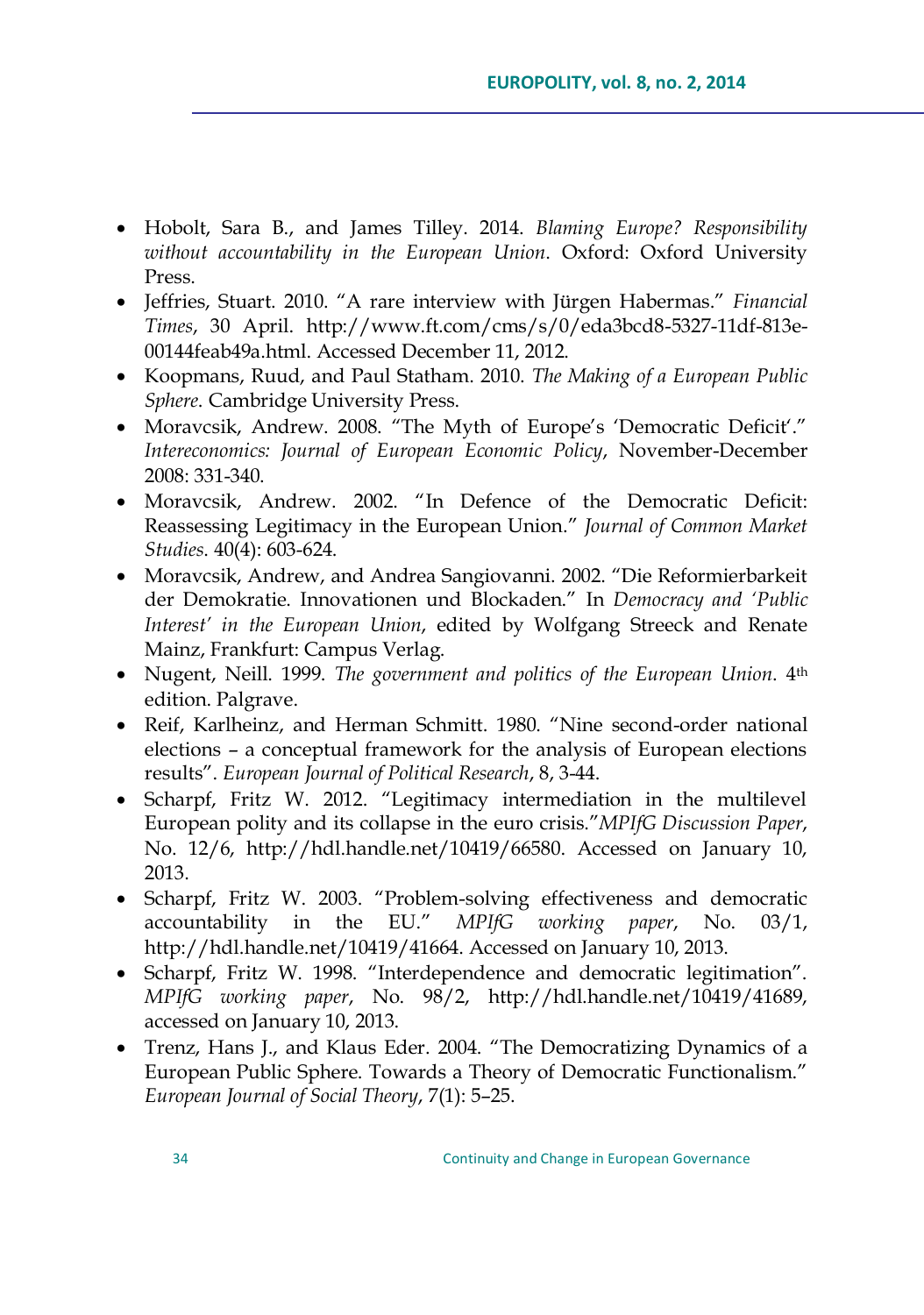- Hobolt, Sara B., and James Tilley. 2014. *Blaming Europe? Responsibility without accountability in the European Union*. Oxford: Oxford University Press.
- Jeffries, Stuart. 2010. "A rare interview with Jürgen Habermas." *Financial Times*, 30 April. http://www.ft.com/cms/s/0/eda3bcd8-5327-11df-813e-00144feab49a.html. Accessed December 11, 2012.
- Koopmans, Ruud, and Paul Statham. 2010. *The Making of a European Public Sphere*. Cambridge University Press.
- Moravcsik, Andrew. 2008. "The Myth of Europe's 'Democratic Deficit'." *Intereconomics: Journal of European Economic Policy*, November-December 2008: 331-340.
- Moravcsik, Andrew. 2002. "In Defence of the Democratic Deficit: [Reassessing Legitimacy in the European Union](http://www.princeton.edu/~amoravcs/library/deficit.pdf).‖ *Journal of Common Market Studies*. 40(4): 603-624.
- Moravcsik, Andrew, and Andrea Sangiovanni. 2002. "Die Reformierbarkeit der Demokratie. Innovationen und Blockaden.‖ In *Democracy and "Public Interest" in the European Union*, edited by Wolfgang Streeck and Renate Mainz, Frankfurt: Campus Verlag.
- Nugent, Neill. 1999. *The government and politics of the European Union*. 4th edition. Palgrave.
- Reif, Karlheinz, and Herman Schmitt. 1980. "Nine second-order national elections – a conceptual framework for the analysis of European elections results‖. *European Journal of Political Research*, 8, 3-44.
- Scharpf, Fritz W. 2012. "Legitimacy intermediation in the multilevel European polity and its collapse in the euro crisis.‖*MPIfG Discussion Paper*, No. 12/6, [http://hdl.handle.net/10419/66580.](http://hdl.handle.net/10419/66580) Accessed on January 10, 2013.
- Scharpf, Fritz W. 2003. "Problem-solving effectiveness and democratic accountability in the EU.‖ *MPIfG working paper*, No. 03/1, http://hdl.handle.net/10419/41664. Accessed on January 10, 2013.
- Scharpf, Fritz W. 1998. "Interdependence and democratic legitimation". *MPIfG working paper*, No. 98/2, http://hdl.handle.net/10419/41689, accessed on January 10, 2013.
- Trenz, Hans J., and Klaus Eder. 2004. "The Democratizing Dynamics of a European Public Sphere. Towards a Theory of Democratic Functionalism." *European Journal of Social Theory*, 7(1): 5–25.